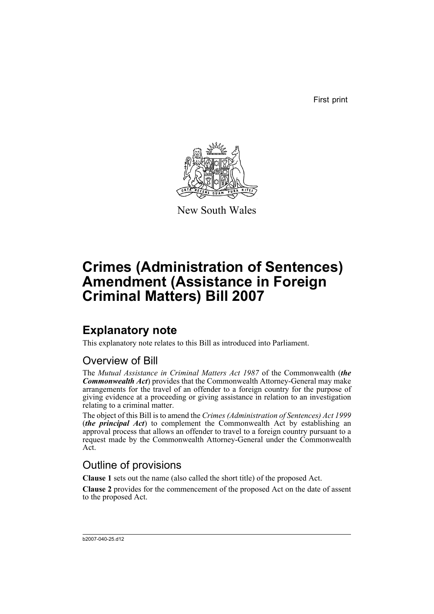First print



New South Wales

# **Crimes (Administration of Sentences) Amendment (Assistance in Foreign Criminal Matters) Bill 2007**

## **Explanatory note**

This explanatory note relates to this Bill as introduced into Parliament.

### Overview of Bill

The *Mutual Assistance in Criminal Matters Act 1987* of the Commonwealth (*the Commonwealth Act*) provides that the Commonwealth Attorney-General may make arrangements for the travel of an offender to a foreign country for the purpose of giving evidence at a proceeding or giving assistance in relation to an investigation relating to a criminal matter.

The object of this Bill is to amend the *Crimes (Administration of Sentences) Act 1999* (*the principal Act*) to complement the Commonwealth Act by establishing an approval process that allows an offender to travel to a foreign country pursuant to a request made by the Commonwealth Attorney-General under the Commonwealth Act.

## Outline of provisions

**Clause 1** sets out the name (also called the short title) of the proposed Act.

**Clause 2** provides for the commencement of the proposed Act on the date of assent to the proposed Act.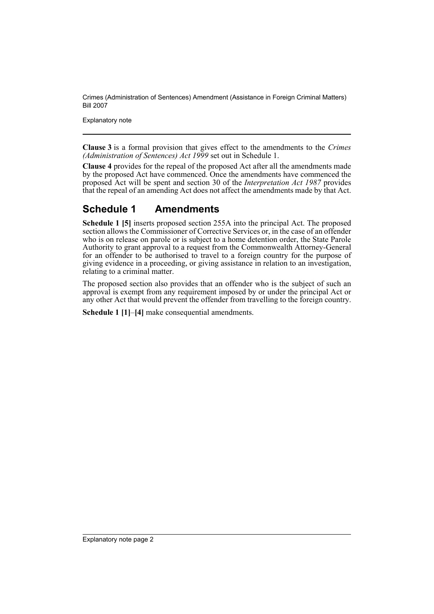Crimes (Administration of Sentences) Amendment (Assistance in Foreign Criminal Matters) Bill 2007

Explanatory note

**Clause 3** is a formal provision that gives effect to the amendments to the *Crimes (Administration of Sentences) Act 1999* set out in Schedule 1.

**Clause 4** provides for the repeal of the proposed Act after all the amendments made by the proposed Act have commenced. Once the amendments have commenced the proposed Act will be spent and section 30 of the *Interpretation Act 1987* provides that the repeal of an amending Act does not affect the amendments made by that Act.

## **Schedule 1 Amendments**

**Schedule 1 [5]** inserts proposed section 255A into the principal Act. The proposed section allows the Commissioner of Corrective Services or, in the case of an offender who is on release on parole or is subject to a home detention order, the State Parole Authority to grant approval to a request from the Commonwealth Attorney-General for an offender to be authorised to travel to a foreign country for the purpose of giving evidence in a proceeding, or giving assistance in relation to an investigation, relating to a criminal matter.

The proposed section also provides that an offender who is the subject of such an approval is exempt from any requirement imposed by or under the principal Act or any other Act that would prevent the offender from travelling to the foreign country.

**Schedule 1 [1]**–**[4]** make consequential amendments.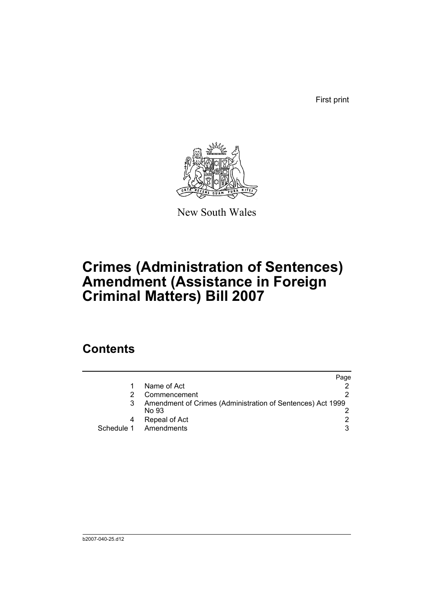First print



New South Wales

# **Crimes (Administration of Sentences) Amendment (Assistance in Foreign Criminal Matters) Bill 2007**

## **Contents**

|                                                                     | Page |
|---------------------------------------------------------------------|------|
| Name of Act                                                         |      |
| Commencement                                                        |      |
| Amendment of Crimes (Administration of Sentences) Act 1999<br>No 93 |      |
| Repeal of Act                                                       |      |
| Schedule 1 Amendments                                               | 3    |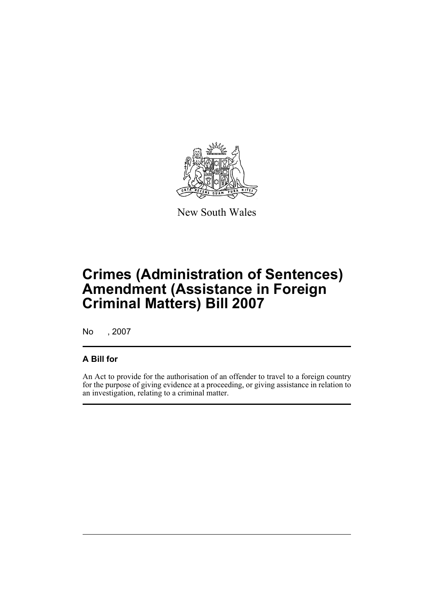

New South Wales

# **Crimes (Administration of Sentences) Amendment (Assistance in Foreign Criminal Matters) Bill 2007**

No , 2007

### **A Bill for**

An Act to provide for the authorisation of an offender to travel to a foreign country for the purpose of giving evidence at a proceeding, or giving assistance in relation to an investigation, relating to a criminal matter.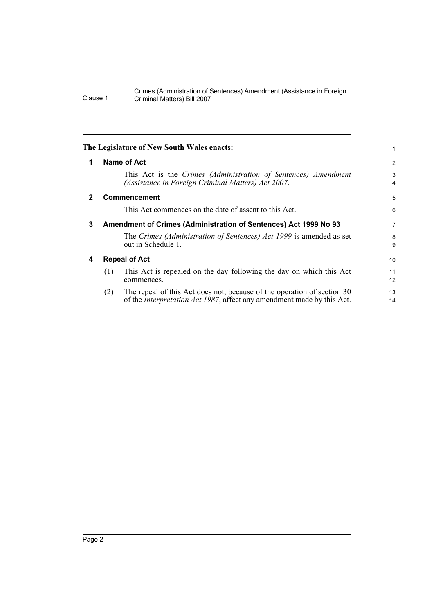#### Crimes (Administration of Sentences) Amendment (Assistance in Foreign Clause 1 Criminal Matters) Bill 2007

<span id="page-5-3"></span><span id="page-5-2"></span><span id="page-5-1"></span><span id="page-5-0"></span>

|              |     | The Legislature of New South Wales enacts:                                                                                                                | 1              |
|--------------|-----|-----------------------------------------------------------------------------------------------------------------------------------------------------------|----------------|
| 1            |     | Name of Act                                                                                                                                               | $\overline{2}$ |
|              |     | This Act is the Crimes (Administration of Sentences) Amendment<br>(Assistance in Foreign Criminal Matters) Act 2007.                                      | 3<br>4         |
| $\mathbf{2}$ |     | <b>Commencement</b>                                                                                                                                       | 5              |
|              |     | This Act commences on the date of assent to this Act.                                                                                                     | 6              |
| 3            |     | Amendment of Crimes (Administration of Sentences) Act 1999 No 93                                                                                          | 7              |
|              |     | The Crimes (Administration of Sentences) Act 1999 is amended as set<br>out in Schedule 1.                                                                 | 8<br>9         |
| 4            |     | <b>Repeal of Act</b>                                                                                                                                      | 10             |
|              | (1) | This Act is repealed on the day following the day on which this Act<br>commences.                                                                         | 11<br>12       |
|              | (2) | The repeal of this Act does not, because of the operation of section 30<br>of the <i>Interpretation Act 1987</i> , affect any amendment made by this Act. | 13<br>14       |
|              |     |                                                                                                                                                           |                |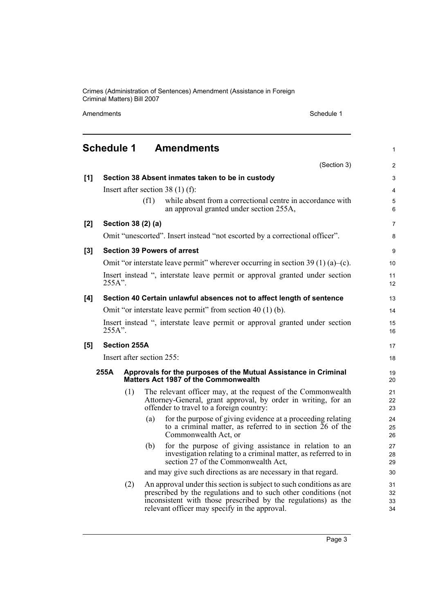Crimes (Administration of Sentences) Amendment (Assistance in Foreign Criminal Matters) Bill 2007

Amendments Schedule 1

<span id="page-6-0"></span>

| <b>Schedule 1</b><br><b>Amendments</b><br>$\mathbf{1}$ |                                                                                       |                     |                           |                                                                                                                                                                                                                                                          |                      |
|--------------------------------------------------------|---------------------------------------------------------------------------------------|---------------------|---------------------------|----------------------------------------------------------------------------------------------------------------------------------------------------------------------------------------------------------------------------------------------------------|----------------------|
|                                                        |                                                                                       |                     |                           | (Section 3)                                                                                                                                                                                                                                              | 2                    |
| [1]                                                    |                                                                                       |                     |                           | Section 38 Absent inmates taken to be in custody                                                                                                                                                                                                         | 3                    |
|                                                        |                                                                                       |                     |                           | Insert after section 38 $(1)$ (f):                                                                                                                                                                                                                       | $\overline{4}$       |
|                                                        |                                                                                       |                     | (f1)                      | while absent from a correctional centre in accordance with<br>an approval granted under section 255A,                                                                                                                                                    | 5<br>6               |
| [2]                                                    |                                                                                       |                     | Section 38 (2) (a)        |                                                                                                                                                                                                                                                          | $\overline{7}$       |
|                                                        |                                                                                       |                     |                           | Omit "unescorted". Insert instead "not escorted by a correctional officer".                                                                                                                                                                              | 8                    |
| $[3]$                                                  |                                                                                       |                     |                           | <b>Section 39 Powers of arrest</b>                                                                                                                                                                                                                       | 9                    |
|                                                        |                                                                                       |                     |                           | Omit "or interstate leave permit" wherever occurring in section $39(1)(a)$ -(c).                                                                                                                                                                         | 10                   |
|                                                        | Insert instead ", interstate leave permit or approval granted under section<br>255A". |                     |                           |                                                                                                                                                                                                                                                          |                      |
| [4]                                                    |                                                                                       |                     |                           | Section 40 Certain unlawful absences not to affect length of sentence                                                                                                                                                                                    | 13                   |
|                                                        | Omit "or interstate leave permit" from section 40 (1) (b).                            |                     |                           |                                                                                                                                                                                                                                                          | 14                   |
|                                                        | Insert instead ", interstate leave permit or approval granted under section<br>255A". |                     |                           |                                                                                                                                                                                                                                                          | 15<br>16             |
| [5]                                                    |                                                                                       | <b>Section 255A</b> |                           |                                                                                                                                                                                                                                                          | 17                   |
|                                                        |                                                                                       |                     | Insert after section 255: |                                                                                                                                                                                                                                                          | 18                   |
|                                                        | 255A                                                                                  |                     |                           | Approvals for the purposes of the Mutual Assistance in Criminal<br>Matters Act 1987 of the Commonwealth                                                                                                                                                  | 19<br>20             |
|                                                        |                                                                                       | (1)                 |                           | The relevant officer may, at the request of the Commonwealth<br>Attorney-General, grant approval, by order in writing, for an<br>offender to travel to a foreign country:                                                                                | 21<br>22<br>23       |
|                                                        |                                                                                       |                     | (a)                       | for the purpose of giving evidence at a proceeding relating<br>to a criminal matter, as referred to in section 26 of the<br>Commonwealth Act, or                                                                                                         | 24<br>25<br>26       |
|                                                        |                                                                                       |                     | (b)                       | for the purpose of giving assistance in relation to an<br>investigation relating to a criminal matter, as referred to in<br>section 27 of the Commonwealth Act,                                                                                          | 27<br>28<br>29       |
|                                                        |                                                                                       |                     |                           | and may give such directions as are necessary in that regard.                                                                                                                                                                                            | 30                   |
|                                                        |                                                                                       | (2)                 |                           | An approval under this section is subject to such conditions as are<br>prescribed by the regulations and to such other conditions (not<br>inconsistent with those prescribed by the regulations) as the<br>relevant officer may specify in the approval. | 31<br>32<br>33<br>34 |